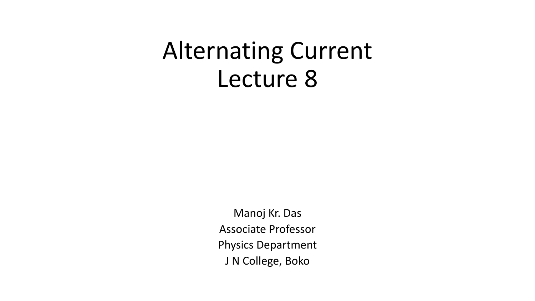## Alternating Current Lecture 8

Manoj Kr. Das Associate Professor Physics Department J N College, Boko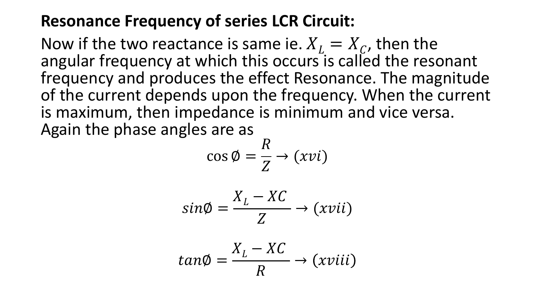## **Resonance Frequency of series LCR Circuit:**

Now if the two reactance is same ie.  $X_L = X_C$ , then the angular frequency at which this occurs is called the resonant frequency and produces the effect Resonance. The magnitude of the current depends upon the frequency. When the current is maximum, then impedance is minimum and vice versa. Again the phase angles are as

$$
\cos \emptyset = \frac{R}{Z} \rightarrow (xvi)
$$

$$
sin\phi = \frac{X_L - XC}{Z} \rightarrow (xvii)
$$

$$
tan\phi = \frac{X_L - XC}{R} \rightarrow (xviii)
$$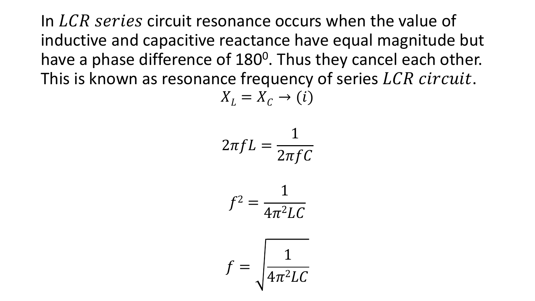In  $LCR$  series circuit resonance occurs when the value of inductive and capacitive reactance have equal magnitude but have a phase difference of 180<sup>0</sup>. Thus they cancel each other. This is known as resonance frequency of series  $LCR$  circuit.

$$
X_L = X_C \to (i)
$$

$$
2\pi fL = \frac{1}{2\pi fC}
$$

$$
f^2 = \frac{1}{4\pi^2 LC}
$$

$$
f = \sqrt{\frac{1}{4\pi^2 LC}}
$$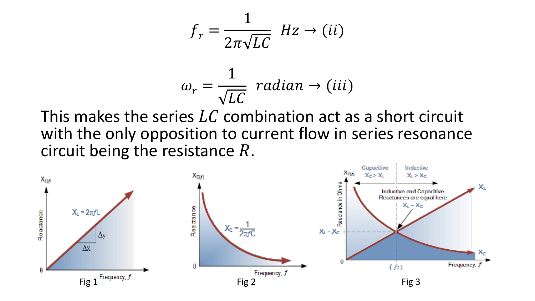$$
f_r = \frac{1}{2\pi\sqrt{LC}} \ Hz \to (ii)
$$

$$
\omega_r = \frac{1}{\sqrt{LC}} \, radian \rightarrow (iii)
$$

This makes the series  $LC$  combination act as a short circuit with the only opposition to current flow in series resonance circuit being the resistance *.* 

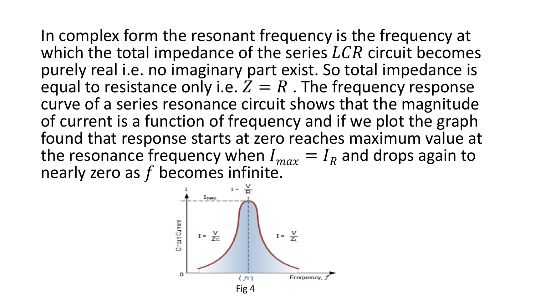In complex form the resonant frequency is the frequency at which the total impedance of the series  $LCR$  circuit becomes purely real i.e. no imaginary part exist. So total impedance is equal to resistance only i.e.  $Z = R$ . The frequency response curve of a series resonance circuit shows that the magnitude of current is a function of frequency and if we plot the graph found that response starts at zero reaches maximum value at the resonance frequency when  $I_{max} = I_R$  and drops again to nearly zero as  $f$  becomes infinite.

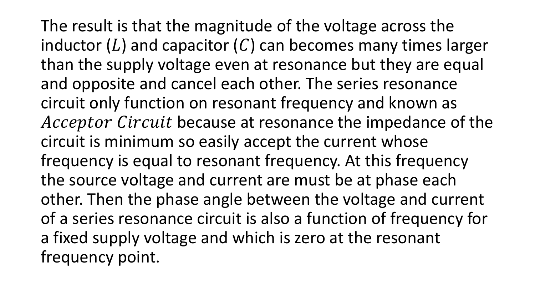The result is that the magnitude of the voltage across the inductor (L) and capacitor (C) can becomes many times larger than the supply voltage even at resonance but they are equal and opposite and cancel each other. The series resonance circuit only function on resonant frequency and known as Acceptor Circuit because at resonance the impedance of the circuit is minimum so easily accept the current whose frequency is equal to resonant frequency. At this frequency the source voltage and current are must be at phase each other. Then the phase angle between the voltage and current of a series resonance circuit is also a function of frequency for a fixed supply voltage and which is zero at the resonant frequency point.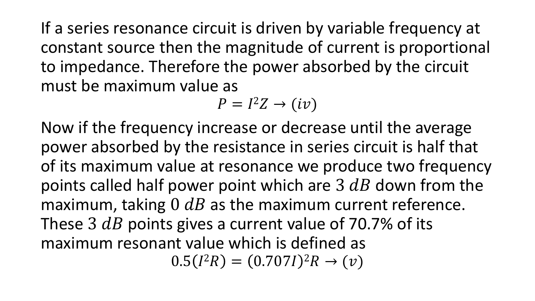If a series resonance circuit is driven by variable frequency at constant source then the magnitude of current is proportional to impedance. Therefore the power absorbed by the circuit must be maximum value as

$$
P = I^2 Z \rightarrow (iv)
$$

Now if the frequency increase or decrease until the average power absorbed by the resistance in series circuit is half that of its maximum value at resonance we produce two frequency points called half power point which are 3  $dB$  down from the maximum, taking  $0$   $dB$  as the maximum current reference. These 3  $dB$  points gives a current value of 70.7% of its maximum resonant value which is defined as  $0.5(I^2R) = (0.707I)^2R \rightarrow (\nu)$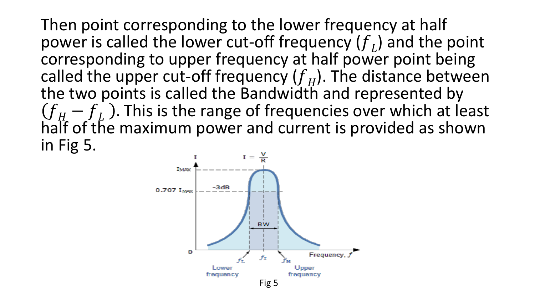Then point corresponding to the lower frequency at half power is called the lower cut-off frequency  $(f_L)$  and the point corresponding to upper frequency at half power point being called the upper cut-off frequency  $(f_H)$ . The distance between the two points is called the Bandwidth and represented by  $f_{H} - f_{L}$ ). This is the range of frequencies over which at least half of the maximum power and current is provided as shown in Fig 5.

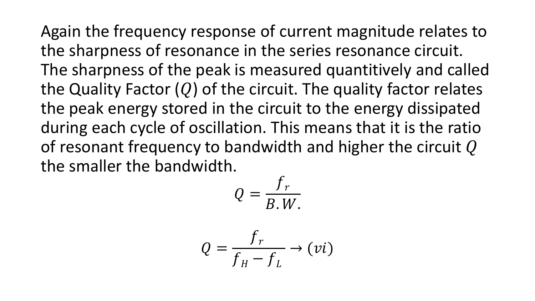Again the frequency response of current magnitude relates to the sharpness of resonance in the series resonance circuit. The sharpness of the peak is measured quantitively and called the Quality Factor  $(Q)$  of the circuit. The quality factor relates the peak energy stored in the circuit to the energy dissipated during each cycle of oscillation. This means that it is the ratio of resonant frequency to bandwidth and higher the circuit  $Q$ the smaller the bandwidth.

$$
Q=\frac{f_r}{B.W.}
$$

$$
Q = \frac{f_r}{f_H - f_L} \to (vi)
$$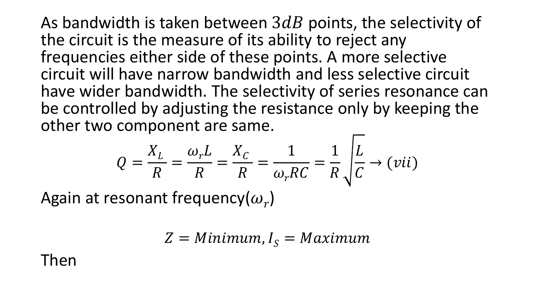As bandwidth is taken between  $3dB$  points, the selectivity of the circuit is the measure of its ability to reject any frequencies either side of these points. A more selective circuit will have narrow bandwidth and less selective circuit have wider bandwidth. The selectivity of series resonance can be controlled by adjusting the resistance only by keeping the other two component are same.

$$
Q = \frac{X_L}{R} = \frac{\omega_r L}{R} = \frac{X_C}{R} = \frac{1}{\omega_r RC} = \frac{1}{R} \sqrt{\frac{L}{C}} \rightarrow (vii)
$$

Again at resonant frequency( $\omega_r$ )

$$
Z = Minimum, I_S = Maximum
$$

Then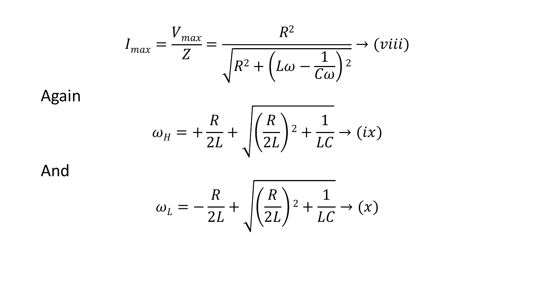$$
I_{max} = \frac{V_{max}}{Z} = \frac{R^2}{\sqrt{R^2 + \left(L\omega - \frac{1}{C\omega}\right)^2}} \rightarrow (viii)
$$

Again

And

$$
\omega_H = +\frac{R}{2L} + \sqrt{\left(\frac{R}{2L}\right)^2 + \frac{1}{LC}} \rightarrow (ix)
$$

$$
\omega_L = -\frac{R}{2L} + \sqrt{\left(\frac{R}{2L}\right)^2 + \frac{1}{LC}} \rightarrow (x)
$$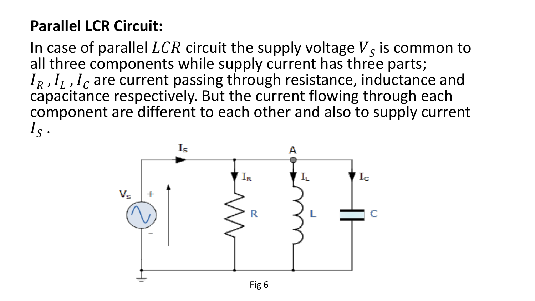## **Parallel LCR Circuit:**

In case of parallel LCR circuit the supply voltage  $V_s$  is common to all three components while supply current has three parts;  $I_R$ ,  $I_L$ ,  $I_C$  are current passing through resistance, inductance and capacitance respectively. But the current flowing through each component are different to each other and also to supply current  $I_S$  .

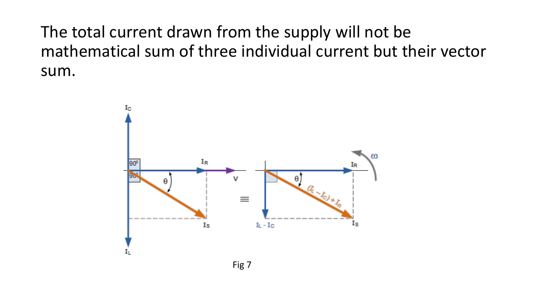The total current drawn from the supply will not be mathematical sum of three individual current but their vector sum.

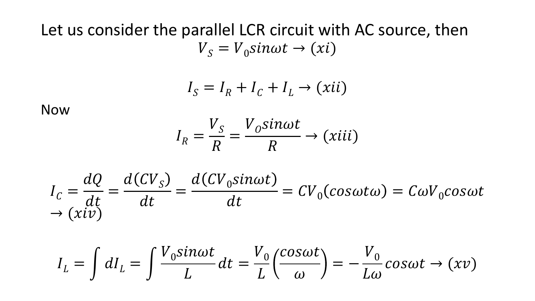## Let us consider the parallel LCR circuit with AC source, then  $V_s = V_0 sin \omega t \rightarrow (xi)$

$$
I_S = I_R + I_C + I_L \rightarrow (xii)
$$

Now

$$
I_R = \frac{V_S}{R} = \frac{V_0 \sin \omega t}{R} \rightarrow (xiii)
$$

$$
I_C = \frac{dQ}{dt} = \frac{d(CV_S)}{dt} = \frac{d(CV_0sin\omega t)}{dt} = CV_0(cos\omega t\omega) = C\omega V_0cos\omega t
$$
  
\n
$$
\rightarrow (xiv)
$$

$$
I_L = \int dI_L = \int \frac{V_0 sin \omega t}{L} dt = \frac{V_0}{L} \left(\frac{cos \omega t}{\omega}\right) = -\frac{V_0}{L\omega} cos \omega t \rightarrow (xv)
$$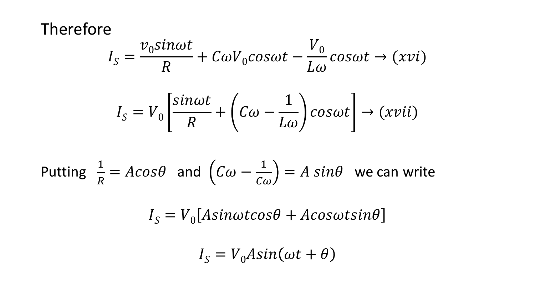Therefore

$$
I_S = \frac{v_0 \sin \omega t}{R} + C \omega V_0 \cos \omega t - \frac{V_0}{L \omega} \cos \omega t \rightarrow (xvi)
$$

$$
I_S = V_0 \left[ \frac{\sin \omega t}{R} + \left( C \omega - \frac{1}{L \omega} \right) \cos \omega t \right] \rightarrow (xvii)
$$

Putting 
$$
\frac{1}{R} = A \cos \theta
$$
 and  $(C\omega - \frac{1}{C\omega}) = A \sin \theta$  we can write

 $I_S = V_0 [Asinotcos\theta + A cos\omega t sin\theta]$ 

$$
I_S = V_0 Asin(\omega t + \theta)
$$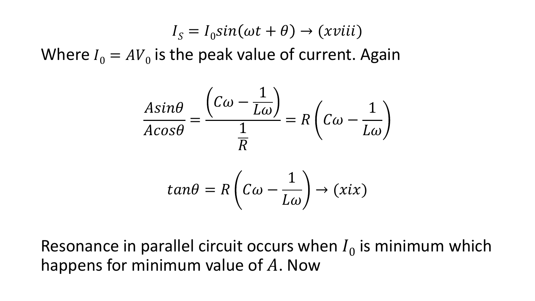$$
I_S = I_0 \sin(\omega t + \theta) \rightarrow (xviii)
$$

Where  $I_0 = AV_0$  is the peak value of current. Again

$$
\frac{A\sin\theta}{A\cos\theta} = \frac{\left(C\omega - \frac{1}{L\omega}\right)}{\frac{1}{R}} = R\left(C\omega - \frac{1}{L\omega}\right)
$$

$$
\tan\theta = R\left(C\omega - \frac{1}{L\omega}\right) \to (xix)
$$

Resonance in parallel circuit occurs when  $I_0$  is minimum which happens for minimum value of  $A$ . Now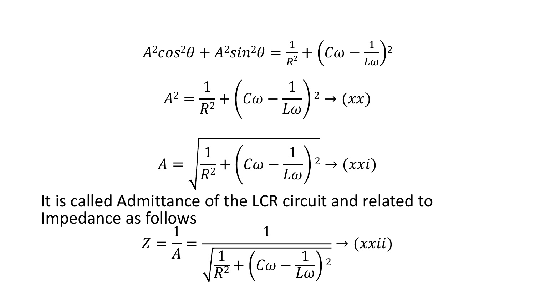$$
A^2 \cos^2 \theta + A^2 \sin^2 \theta = \frac{1}{R^2} + \left(C\omega - \frac{1}{L\omega}\right)^2
$$

$$
A^2 = \frac{1}{R^2} + \left(C\omega - \frac{1}{L\omega}\right)^2 \to (xx)
$$

$$
A = \sqrt{\frac{1}{R^2} + \left(C\omega - \frac{1}{L\omega}\right)^2} \to (xxi)
$$

It is called Admittance of the LCR circuit and related to Impedance as follows

$$
Z = \frac{1}{A} = \frac{1}{\sqrt{\frac{1}{R^2} + \left(C\omega - \frac{1}{L\omega}\right)^2}} \to (xxii)
$$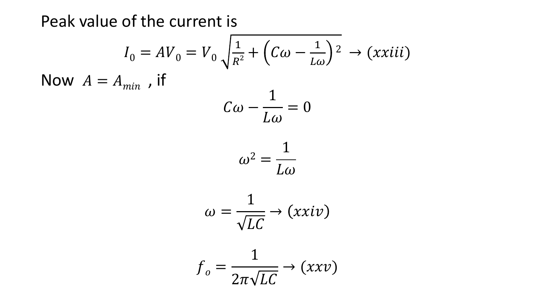Peak value of the current is

$$
I_0 = AV_0 = V_0 \sqrt{\frac{1}{R^2} + \left(C\omega - \frac{1}{L\omega}\right)^2} \rightarrow (xxiii)
$$
  
\nNow  $A = A_{min}$ , if  
\n
$$
C\omega - \frac{1}{L\omega} = 0
$$
\n
$$
\omega^2 = \frac{1}{L\omega}
$$
\n
$$
\omega = \frac{1}{\sqrt{LC}} \rightarrow (xxiv)
$$
\n
$$
f_o = \frac{1}{2\pi\sqrt{LC}} \rightarrow (xxv)
$$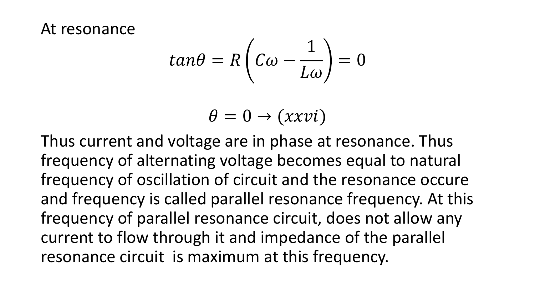At resonance

$$
tan\theta = R\left(C\omega - \frac{1}{L\omega}\right) = 0
$$

$$
\theta = 0 \rightarrow (xxvi)
$$

Thus current and voltage are in phase at resonance. Thus frequency of alternating voltage becomes equal to natural frequency of oscillation of circuit and the resonance occure and frequency is called parallel resonance frequency. At this frequency of parallel resonance circuit, does not allow any current to flow through it and impedance of the parallel resonance circuit is maximum at this frequency.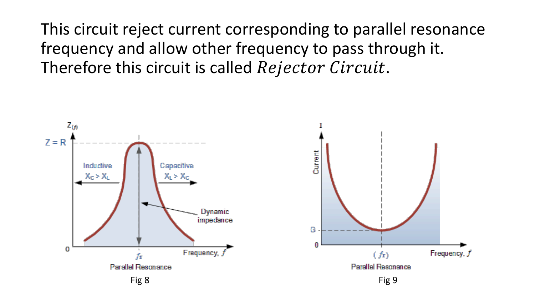This circuit reject current corresponding to parallel resonance frequency and allow other frequency to pass through it. Therefore this circuit is called Rejector Circuit.

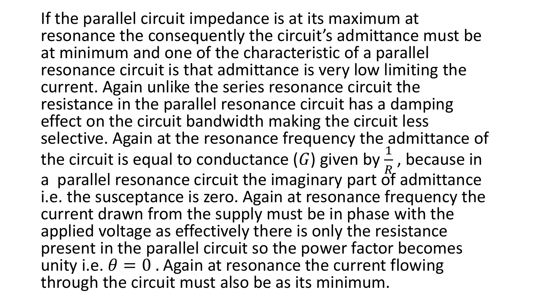If the parallel circuit impedance is at its maximum at resonance the consequently the circuit's admittance must be at minimum and one of the characteristic of a parallel resonance circuit is that admittance is very low limiting the current. Again unlike the series resonance circuit the resistance in the parallel resonance circuit has a damping effect on the circuit bandwidth making the circuit less selective. Again at the resonance frequency the admittance of the circuit is equal to conductance  $(G)$  given by  $\frac{1}{R}$  $\overline{R}$ , because in a parallel resonance circuit the imaginary part of admittance i.e. the susceptance is zero. Again at resonance frequency the current drawn from the supply must be in phase with the applied voltage as effectively there is only the resistance present in the parallel circuit so the power factor becomes unity i.e.  $\theta = 0$ . Again at resonance the current flowing through the circuit must also be as its minimum.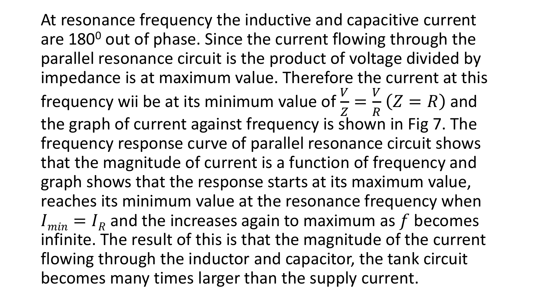At resonance frequency the inductive and capacitive current are 180<sup>0</sup> out of phase. Since the current flowing through the parallel resonance circuit is the product of voltage divided by impedance is at maximum value. Therefore the current at this frequency wii be at its minimum value of  $\frac{V}{Z}$  $Z_{\cdot}$ =  $\boldsymbol{V}$  $\overline{R}$  $Z = R$ ) and the graph of current against frequency is shown in Fig 7. The frequency response curve of parallel resonance circuit shows that the magnitude of current is a function of frequency and graph shows that the response starts at its maximum value, reaches its minimum value at the resonance frequency when  $I_{min} = I_R$  and the increases again to maximum as  $f$  becomes infinite. The result of this is that the magnitude of the current flowing through the inductor and capacitor, the tank circuit becomes many times larger than the supply current.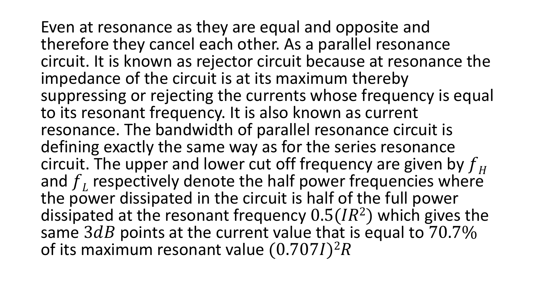Even at resonance as they are equal and opposite and therefore they cancel each other. As a parallel resonance circuit. It is known as rejector circuit because at resonance the impedance of the circuit is at its maximum thereby suppressing or rejecting the currents whose frequency is equal to its resonant frequency. It is also known as current resonance. The bandwidth of parallel resonance circuit is defining exactly the same way as for the series resonance circuit. The upper and lower cut off frequency are given by  $f_H$ and  $f_L$  respectively denote the half power frequencies where the power dissipated in the circuit is half of the full power dissipated at the resonant frequency  $0.5(IR^2)$  which gives the same  $3dB$  points at the current value that is equal to  $70.7\%$ of its maximum resonant value  $(0.707I)^2R$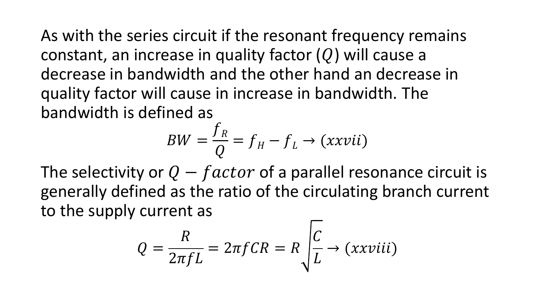As with the series circuit if the resonant frequency remains constant, an increase in quality factor  $(Q)$  will cause a decrease in bandwidth and the other hand an decrease in quality factor will cause in increase in bandwidth. The bandwidth is defined as

$$
BW = \frac{f_R}{Q} = f_H - f_L \rightarrow (xxvii)
$$

The selectivity or  $Q - factor$  of a parallel resonance circuit is generally defined as the ratio of the circulating branch current to the supply current as

$$
Q = \frac{R}{2\pi fL} = 2\pi fCR = R\sqrt{\frac{C}{L}} \rightarrow (xxviii)
$$